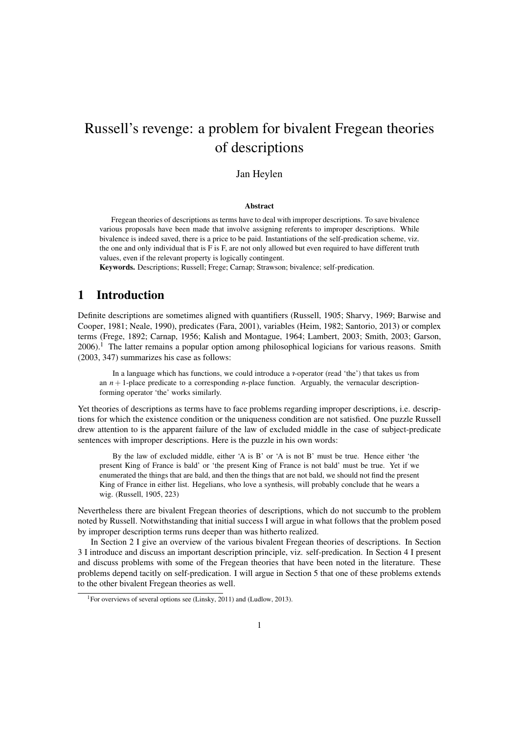# Russell's revenge: a problem for bivalent Fregean theories of descriptions

#### Jan Heylen

#### Abstract

Fregean theories of descriptions as terms have to deal with improper descriptions. To save bivalence various proposals have been made that involve assigning referents to improper descriptions. While bivalence is indeed saved, there is a price to be paid. Instantiations of the self-predication scheme, viz. the one and only individual that is F is F, are not only allowed but even required to have different truth values, even if the relevant property is logically contingent.

Keywords. Descriptions; Russell; Frege; Carnap; Strawson; bivalence; self-predication.

#### 1 Introduction

Definite descriptions are sometimes aligned with quantifiers (Russell, 1905; Sharvy, 1969; Barwise and Cooper, 1981; Neale, 1990), predicates (Fara, 2001), variables (Heim, 1982; Santorio, 2013) or complex terms (Frege, 1892; Carnap, 1956; Kalish and Montague, 1964; Lambert, 2003; Smith, 2003; Garson, 2006).<sup>1</sup> The latter remains a popular option among philosophical logicians for various reasons. Smith (2003, 347) summarizes his case as follows:

In a language which has functions, we could introduce a *r*-operator (read 'the') that takes us from an  $n+1$ -place predicate to a corresponding *n*-place function. Arguably, the vernacular descriptionforming operator 'the' works similarly.

Yet theories of descriptions as terms have to face problems regarding improper descriptions, i.e. descriptions for which the existence condition or the uniqueness condition are not satisfied. One puzzle Russell drew attention to is the apparent failure of the law of excluded middle in the case of subject-predicate sentences with improper descriptions. Here is the puzzle in his own words:

By the law of excluded middle, either 'A is B' or 'A is not B' must be true. Hence either 'the present King of France is bald' or 'the present King of France is not bald' must be true. Yet if we enumerated the things that are bald, and then the things that are not bald, we should not find the present King of France in either list. Hegelians, who love a synthesis, will probably conclude that he wears a wig. (Russell, 1905, 223)

Nevertheless there are bivalent Fregean theories of descriptions, which do not succumb to the problem noted by Russell. Notwithstanding that initial success I will argue in what follows that the problem posed by improper description terms runs deeper than was hitherto realized.

In Section 2 I give an overview of the various bivalent Fregean theories of descriptions. In Section 3 I introduce and discuss an important description principle, viz. self-predication. In Section 4 I present and discuss problems with some of the Fregean theories that have been noted in the literature. These problems depend tacitly on self-predication. I will argue in Section 5 that one of these problems extends to the other bivalent Fregean theories as well.

<sup>&</sup>lt;sup>1</sup>For overviews of several options see (Linsky, 2011) and (Ludlow, 2013).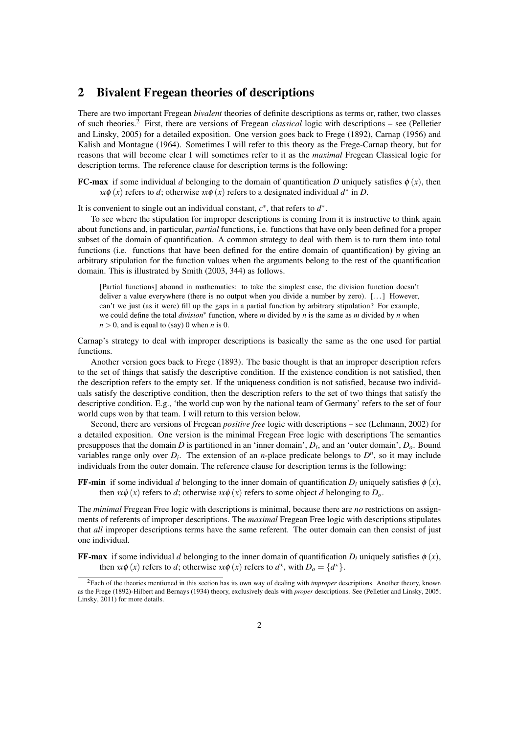### 2 Bivalent Fregean theories of descriptions

There are two important Fregean *bivalent* theories of definite descriptions as terms or, rather, two classes of such theories.<sup>2</sup> First, there are versions of Fregean *classical* logic with descriptions – see (Pelletier and Linsky, 2005) for a detailed exposition. One version goes back to Frege (1892), Carnap (1956) and Kalish and Montague (1964). Sometimes I will refer to this theory as the Frege-Carnap theory, but for reasons that will become clear I will sometimes refer to it as the *maximal* Fregean Classical logic for description terms. The reference clause for description terms is the following:

**FC-max** if some individual *d* belonging to the domain of quantification *D* uniquely satisfies  $\phi(x)$ , then  $x\phi(x)$  refers to *d*; otherwise  $x\phi(x)$  refers to a designated individual  $d^*$  in *D*.

It is convenient to single out an individual constant,  $c^*$ , that refers to  $d^*$ .

To see where the stipulation for improper descriptions is coming from it is instructive to think again about functions and, in particular, *partial* functions, i.e. functions that have only been defined for a proper subset of the domain of quantification. A common strategy to deal with them is to turn them into total functions (i.e. functions that have been defined for the entire domain of quantification) by giving an arbitrary stipulation for the function values when the arguments belong to the rest of the quantification domain. This is illustrated by Smith (2003, 344) as follows.

[Partial functions] abound in mathematics: to take the simplest case, the division function doesn't deliver a value everywhere (there is no output when you divide a number by zero).  $[\dots]$  However, can't we just (as it were) fill up the gaps in a partial function by arbitrary stipulation? For example, we could define the total *division*<sup>∗</sup> function, where *m* divided by *n* is the same as *m* divided by *n* when  $n > 0$ , and is equal to (say) 0 when *n* is 0.

Carnap's strategy to deal with improper descriptions is basically the same as the one used for partial functions.

Another version goes back to Frege (1893). The basic thought is that an improper description refers to the set of things that satisfy the descriptive condition. If the existence condition is not satisfied, then the description refers to the empty set. If the uniqueness condition is not satisfied, because two individuals satisfy the descriptive condition, then the description refers to the set of two things that satisfy the descriptive condition. E.g., 'the world cup won by the national team of Germany' refers to the set of four world cups won by that team. I will return to this version below.

Second, there are versions of Fregean *positive free* logic with descriptions – see (Lehmann, 2002) for a detailed exposition. One version is the minimal Fregean Free logic with descriptions The semantics presupposes that the domain *D* is partitioned in an 'inner domain', *D<sup>i</sup>* , and an 'outer domain', *Do*. Bound variables range only over  $D_i$ . The extension of an *n*-place predicate belongs to  $D^n$ , so it may include individuals from the outer domain. The reference clause for description terms is the following:

**FF-min** if some individual *d* belonging to the inner domain of quantification  $D_i$  uniquely satisfies  $\phi(x)$ , then  $x\phi(x)$  refers to *d*; otherwise  $x\phi(x)$  refers to some object *d* belonging to  $D_0$ .

The *minimal* Fregean Free logic with descriptions is minimal, because there are *no* restrictions on assignments of referents of improper descriptions. The *maximal* Fregean Free logic with descriptions stipulates that *all* improper descriptions terms have the same referent. The outer domain can then consist of just one individual.

**FF-max** if some individual *d* belonging to the inner domain of quantification  $D_i$  uniquely satisfies  $\phi(x)$ , then  $x\phi(x)$  refers to *d*; otherwise  $x\phi(x)$  refers to  $d^*$ , with  $D_0 = \{d^*\}.$ 

<sup>2</sup>Each of the theories mentioned in this section has its own way of dealing with *improper* descriptions. Another theory, known as the Frege (1892)-Hilbert and Bernays (1934) theory, exclusively deals with *proper* descriptions. See (Pelletier and Linsky, 2005; Linsky, 2011) for more details.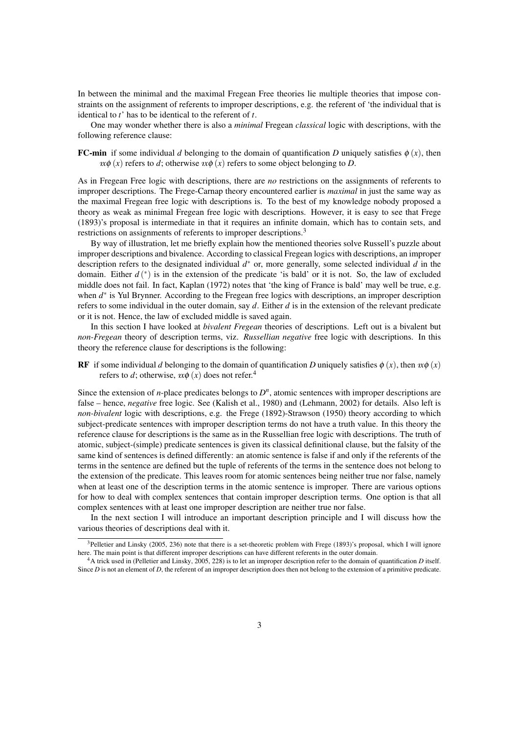In between the minimal and the maximal Fregean Free theories lie multiple theories that impose constraints on the assignment of referents to improper descriptions, e.g. the referent of 'the individual that is identical to *t*' has to be identical to the referent of *t*.

One may wonder whether there is also a *minimal* Fregean *classical* logic with descriptions, with the following reference clause:

**FC-min** if some individual *d* belonging to the domain of quantification *D* uniquely satisfies  $\phi(x)$ , then  $x\phi(x)$  refers to *d*; otherwise  $x\phi(x)$  refers to some object belonging to *D*.

As in Fregean Free logic with descriptions, there are *no* restrictions on the assignments of referents to improper descriptions. The Frege-Carnap theory encountered earlier is *maximal* in just the same way as the maximal Fregean free logic with descriptions is. To the best of my knowledge nobody proposed a theory as weak as minimal Fregean free logic with descriptions. However, it is easy to see that Frege (1893)'s proposal is intermediate in that it requires an infinite domain, which has to contain sets, and restrictions on assignments of referents to improper descriptions.<sup>3</sup>

By way of illustration, let me briefly explain how the mentioned theories solve Russell's puzzle about improper descriptions and bivalence. According to classical Fregean logics with descriptions, an improper description refers to the designated individual *d* <sup>∗</sup> or, more generally, some selected individual *d* in the domain. Either  $d^*(x)$  is in the extension of the predicate 'is bald' or it is not. So, the law of excluded middle does not fail. In fact, Kaplan (1972) notes that 'the king of France is bald' may well be true, e.g. when  $d^*$  is Yul Brynner. According to the Fregean free logics with descriptions, an improper description refers to some individual in the outer domain, say *d*. Either *d* is in the extension of the relevant predicate or it is not. Hence, the law of excluded middle is saved again.

In this section I have looked at *bivalent Fregean* theories of descriptions. Left out is a bivalent but *non-Fregean* theory of description terms, viz. *Russellian negative* free logic with descriptions. In this theory the reference clause for descriptions is the following:

RF if some individual *d* belonging to the domain of quantification *D* uniquely satisfies  $\phi(x)$ , then  $x\phi(x)$ refers to *d*; otherwise,  $x \phi(x)$  does not refer.<sup>4</sup>

Since the extension of  $n$ -place predicates belongs to  $D<sup>n</sup>$ , atomic sentences with improper descriptions are false – hence, *negative* free logic. See (Kalish et al., 1980) and (Lehmann, 2002) for details. Also left is *non-bivalent* logic with descriptions, e.g. the Frege (1892)-Strawson (1950) theory according to which subject-predicate sentences with improper description terms do not have a truth value. In this theory the reference clause for descriptions is the same as in the Russellian free logic with descriptions. The truth of atomic, subject-(simple) predicate sentences is given its classical definitional clause, but the falsity of the same kind of sentences is defined differently: an atomic sentence is false if and only if the referents of the terms in the sentence are defined but the tuple of referents of the terms in the sentence does not belong to the extension of the predicate. This leaves room for atomic sentences being neither true nor false, namely when at least one of the description terms in the atomic sentence is improper. There are various options for how to deal with complex sentences that contain improper description terms. One option is that all complex sentences with at least one improper description are neither true nor false.

In the next section I will introduce an important description principle and I will discuss how the various theories of descriptions deal with it.

<sup>&</sup>lt;sup>3</sup>Pelletier and Linsky (2005, 236) note that there is a set-theoretic problem with Frege (1893)'s proposal, which I will ignore here. The main point is that different improper descriptions can have different referents in the outer domain.

<sup>4</sup>A trick used in (Pelletier and Linsky, 2005, 228) is to let an improper description refer to the domain of quantification *D* itself. Since *D* is not an element of *D*, the referent of an improper description does then not belong to the extension of a primitive predicate.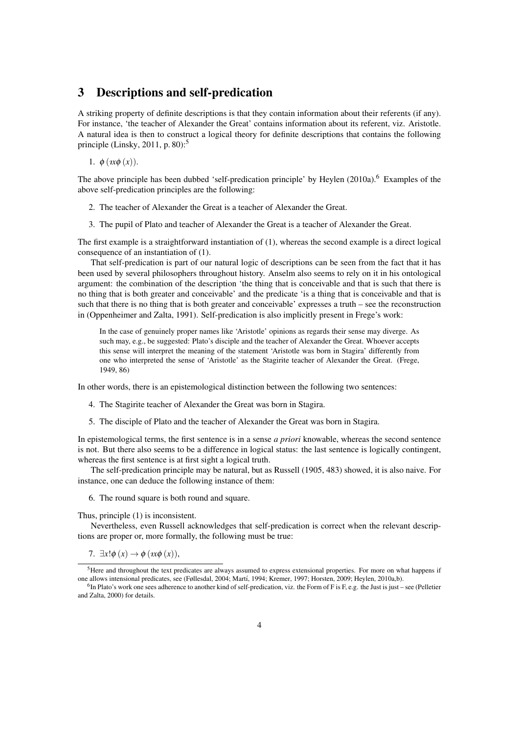#### 3 Descriptions and self-predication

A striking property of definite descriptions is that they contain information about their referents (if any). For instance, 'the teacher of Alexander the Great' contains information about its referent, viz. Aristotle. A natural idea is then to construct a logical theory for definite descriptions that contains the following principle (Linsky, 2011, p. 80):<sup>5</sup>

1.  $\phi$  (*x* $\phi$  (*x*)).

The above principle has been dubbed 'self-predication principle' by Heylen (2010a).<sup>6</sup> Examples of the above self-predication principles are the following:

- 2. The teacher of Alexander the Great is a teacher of Alexander the Great.
- 3. The pupil of Plato and teacher of Alexander the Great is a teacher of Alexander the Great.

The first example is a straightforward instantiation of (1), whereas the second example is a direct logical consequence of an instantiation of (1).

That self-predication is part of our natural logic of descriptions can be seen from the fact that it has been used by several philosophers throughout history. Anselm also seems to rely on it in his ontological argument: the combination of the description 'the thing that is conceivable and that is such that there is no thing that is both greater and conceivable' and the predicate 'is a thing that is conceivable and that is such that there is no thing that is both greater and conceivable' expresses a truth – see the reconstruction in (Oppenheimer and Zalta, 1991). Self-predication is also implicitly present in Frege's work:

In the case of genuinely proper names like 'Aristotle' opinions as regards their sense may diverge. As such may, e.g., be suggested: Plato's disciple and the teacher of Alexander the Great. Whoever accepts this sense will interpret the meaning of the statement 'Aristotle was born in Stagira' differently from one who interpreted the sense of 'Aristotle' as the Stagirite teacher of Alexander the Great. (Frege, 1949, 86)

In other words, there is an epistemological distinction between the following two sentences:

- 4. The Stagirite teacher of Alexander the Great was born in Stagira.
- 5. The disciple of Plato and the teacher of Alexander the Great was born in Stagira.

In epistemological terms, the first sentence is in a sense *a priori* knowable, whereas the second sentence is not. But there also seems to be a difference in logical status: the last sentence is logically contingent, whereas the first sentence is at first sight a logical truth.

The self-predication principle may be natural, but as Russell (1905, 483) showed, it is also naive. For instance, one can deduce the following instance of them:

6. The round square is both round and square.

Thus, principle (1) is inconsistent.

Nevertheless, even Russell acknowledges that self-predication is correct when the relevant descriptions are proper or, more formally, the following must be true:

7.  $\exists x! \phi(x) \rightarrow \phi(\alpha x \phi(x)),$ 

<sup>&</sup>lt;sup>5</sup>Here and throughout the text predicates are always assumed to express extensional properties. For more on what happens if one allows intensional predicates, see (Føllesdal, 2004; Martí, 1994; Kremer, 1997; Horsten, 2009; Heylen, 2010a,b).

 ${}^{6}$ In Plato's work one sees adherence to another kind of self-predication, viz. the Form of F is F, e.g. the Just is just – see (Pelletier and Zalta, 2000) for details.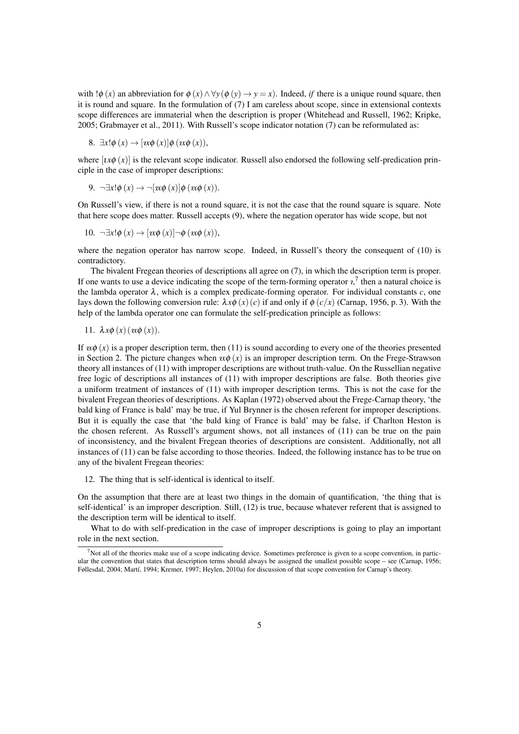with  $\psi(x)$  an abbreviation for  $\phi(x) \land \forall y (\phi(y) \to y = x)$ . Indeed, *if* there is a unique round square, then it is round and square. In the formulation of (7) I am careless about scope, since in extensional contexts scope differences are immaterial when the description is proper (Whitehead and Russell, 1962; Kripke, 2005; Grabmayer et al., 2011). With Russell's scope indicator notation (7) can be reformulated as:

8. 
$$
\exists x! \phi(x) \rightarrow [x \phi(x)] \phi(x \phi(x)),
$$

where  $[i\alpha\phi(x)]$  is the relevant scope indicator. Russell also endorsed the following self-predication principle in the case of improper descriptions:

$$
9. \quad \neg \exists x! \phi(x) \rightarrow \neg [x\phi(x)] \phi(x\phi(x)).
$$

On Russell's view, if there is not a round square, it is not the case that the round square is square. Note that here scope does matter. Russell accepts (9), where the negation operator has wide scope, but not

10. 
$$
\neg \exists x! \phi(x) \rightarrow [x \phi(x)] \neg \phi(x \phi(x)),
$$

where the negation operator has narrow scope. Indeed, in Russell's theory the consequent of (10) is contradictory.

The bivalent Fregean theories of descriptions all agree on (7), in which the description term is proper. If one wants to use a device indicating the scope of the term-forming operator  $i$ , then a natural choice is the lambda operator  $\lambda$ , which is a complex predicate-forming operator. For individual constants  $c$ , one lays down the following conversion rule:  $\lambda x \phi(x)(c)$  if and only if  $\phi(c/x)$  (Carnap, 1956, p. 3). With the help of the lambda operator one can formulate the self-predication principle as follows:

11. 
$$
\lambda x \phi(x) (x \phi(x))
$$
.

If  $x\phi(x)$  is a proper description term, then (11) is sound according to every one of the theories presented in Section 2. The picture changes when  $x\phi(x)$  is an improper description term. On the Frege-Strawson theory all instances of (11) with improper descriptions are without truth-value. On the Russellian negative free logic of descriptions all instances of (11) with improper descriptions are false. Both theories give a uniform treatment of instances of (11) with improper description terms. This is not the case for the bivalent Fregean theories of descriptions. As Kaplan (1972) observed about the Frege-Carnap theory, 'the bald king of France is bald' may be true, if Yul Brynner is the chosen referent for improper descriptions. But it is equally the case that 'the bald king of France is bald' may be false, if Charlton Heston is the chosen referent. As Russell's argument shows, not all instances of (11) can be true on the pain of inconsistency, and the bivalent Fregean theories of descriptions are consistent. Additionally, not all instances of (11) can be false according to those theories. Indeed, the following instance has to be true on any of the bivalent Fregean theories:

12. The thing that is self-identical is identical to itself.

On the assumption that there are at least two things in the domain of quantification, 'the thing that is self-identical' is an improper description. Still, (12) is true, because whatever referent that is assigned to the description term will be identical to itself.

What to do with self-predication in the case of improper descriptions is going to play an important role in the next section.

 $<sup>7</sup>$ Not all of the theories make use of a scope indicating device. Sometimes preference is given to a scope convention, in partic-</sup> ular the convention that states that description terms should always be assigned the smallest possible scope – see (Carnap, 1956; Føllesdal, 2004; Martí, 1994; Kremer, 1997; Heylen, 2010a) for discussion of that scope convention for Carnap's theory.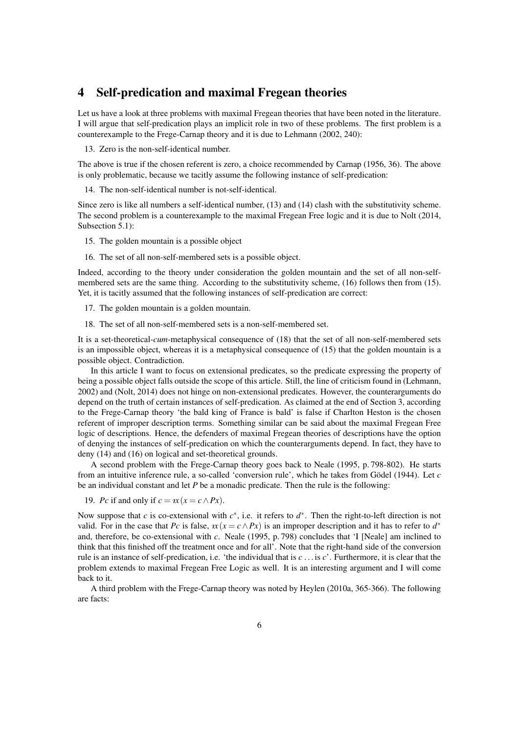#### 4 Self-predication and maximal Fregean theories

Let us have a look at three problems with maximal Fregean theories that have been noted in the literature. I will argue that self-predication plays an implicit role in two of these problems. The first problem is a counterexample to the Frege-Carnap theory and it is due to Lehmann (2002, 240):

13. Zero is the non-self-identical number.

The above is true if the chosen referent is zero, a choice recommended by Carnap (1956, 36). The above is only problematic, because we tacitly assume the following instance of self-predication:

14. The non-self-identical number is not-self-identical.

Since zero is like all numbers a self-identical number, (13) and (14) clash with the substitutivity scheme. The second problem is a counterexample to the maximal Fregean Free logic and it is due to Nolt (2014, Subsection 5.1):

15. The golden mountain is a possible object

16. The set of all non-self-membered sets is a possible object.

Indeed, according to the theory under consideration the golden mountain and the set of all non-selfmembered sets are the same thing. According to the substitutivity scheme, (16) follows then from (15). Yet, it is tacitly assumed that the following instances of self-predication are correct:

17. The golden mountain is a golden mountain.

18. The set of all non-self-membered sets is a non-self-membered set.

It is a set-theoretical-*cum*-metaphysical consequence of (18) that the set of all non-self-membered sets is an impossible object, whereas it is a metaphysical consequence of (15) that the golden mountain is a possible object. Contradiction.

In this article I want to focus on extensional predicates, so the predicate expressing the property of being a possible object falls outside the scope of this article. Still, the line of criticism found in (Lehmann, 2002) and (Nolt, 2014) does not hinge on non-extensional predicates. However, the counterarguments do depend on the truth of certain instances of self-predication. As claimed at the end of Section 3, according to the Frege-Carnap theory 'the bald king of France is bald' is false if Charlton Heston is the chosen referent of improper description terms. Something similar can be said about the maximal Fregean Free logic of descriptions. Hence, the defenders of maximal Fregean theories of descriptions have the option of denying the instances of self-predication on which the counterarguments depend. In fact, they have to deny (14) and (16) on logical and set-theoretical grounds.

A second problem with the Frege-Carnap theory goes back to Neale (1995, p. 798-802). He starts from an intuitive inference rule, a so-called 'conversion rule', which he takes from Gödel (1944). Let  $c$ be an individual constant and let *P* be a monadic predicate. Then the rule is the following:

19. *Pc* if and only if  $c = \alpha(x) = c \wedge Px$ .

Now suppose that *c* is co-extensional with  $c^*$ , i.e. it refers to  $d^*$ . Then the right-to-left direction is not valid. For in the case that *Pc* is false,  $x(x = c \land Px)$  is an improper description and it has to refer to  $d^*$ and, therefore, be co-extensional with *c*. Neale (1995, p. 798) concludes that 'I [Neale] am inclined to think that this finished off the treatment once and for all'. Note that the right-hand side of the conversion rule is an instance of self-predication, i.e. 'the individual that is *c* . . . is *c*'. Furthermore, it is clear that the problem extends to maximal Fregean Free Logic as well. It is an interesting argument and I will come back to it.

A third problem with the Frege-Carnap theory was noted by Heylen (2010a, 365-366). The following are facts: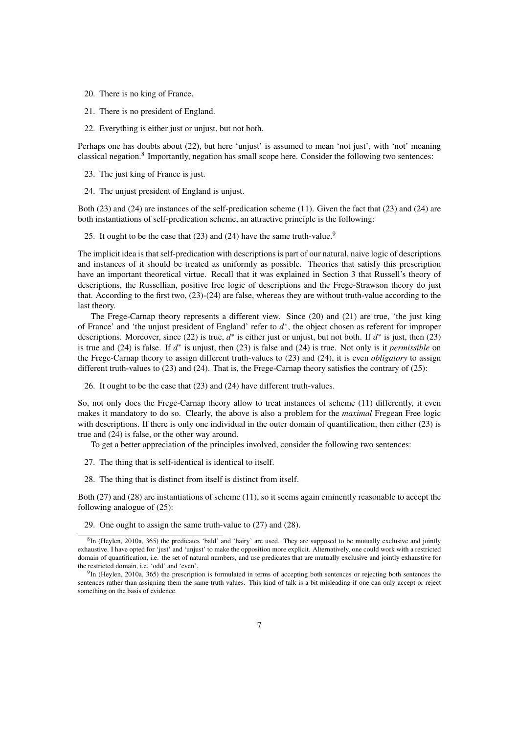- 20. There is no king of France.
- 21. There is no president of England.
- 22. Everything is either just or unjust, but not both.

Perhaps one has doubts about (22), but here 'unjust' is assumed to mean 'not just', with 'not' meaning classical negation.<sup>8</sup> Importantly, negation has small scope here. Consider the following two sentences:

- 23. The just king of France is just.
- 24. The unjust president of England is unjust.

Both (23) and (24) are instances of the self-predication scheme (11). Given the fact that (23) and (24) are both instantiations of self-predication scheme, an attractive principle is the following:

25. It ought to be the case that  $(23)$  and  $(24)$  have the same truth-value.<sup>9</sup>

The implicit idea is that self-predication with descriptions is part of our natural, naive logic of descriptions and instances of it should be treated as uniformly as possible. Theories that satisfy this prescription have an important theoretical virtue. Recall that it was explained in Section 3 that Russell's theory of descriptions, the Russellian, positive free logic of descriptions and the Frege-Strawson theory do just that. According to the first two, (23)-(24) are false, whereas they are without truth-value according to the last theory.

The Frege-Carnap theory represents a different view. Since (20) and (21) are true, 'the just king of France' and 'the unjust president of England' refer to *d* ∗ , the object chosen as referent for improper descriptions. Moreover, since (22) is true,  $d^*$  is either just or unjust, but not both. If  $d^*$  is just, then (23) is true and (24) is false. If *d* ∗ is unjust, then (23) is false and (24) is true. Not only is it *permissible* on the Frege-Carnap theory to assign different truth-values to (23) and (24), it is even *obligatory* to assign different truth-values to  $(23)$  and  $(24)$ . That is, the Frege-Carnap theory satisfies the contrary of  $(25)$ :

26. It ought to be the case that (23) and (24) have different truth-values.

So, not only does the Frege-Carnap theory allow to treat instances of scheme (11) differently, it even makes it mandatory to do so. Clearly, the above is also a problem for the *maximal* Fregean Free logic with descriptions. If there is only one individual in the outer domain of quantification, then either (23) is true and (24) is false, or the other way around.

To get a better appreciation of the principles involved, consider the following two sentences:

- 27. The thing that is self-identical is identical to itself.
- 28. The thing that is distinct from itself is distinct from itself.

Both (27) and (28) are instantiations of scheme (11), so it seems again eminently reasonable to accept the following analogue of (25):

29. One ought to assign the same truth-value to (27) and (28).

 ${}^{8}$ In (Heylen, 2010a, 365) the predicates 'bald' and 'hairy' are used. They are supposed to be mutually exclusive and jointly exhaustive. I have opted for 'just' and 'unjust' to make the opposition more explicit. Alternatively, one could work with a restricted domain of quantification, i.e. the set of natural numbers, and use predicates that are mutually exclusive and jointly exhaustive for the restricted domain, i.e. 'odd' and 'even'.

 $9$ In (Heylen, 2010a, 365) the prescription is formulated in terms of accepting both sentences or rejecting both sentences the sentences rather than assigning them the same truth values. This kind of talk is a bit misleading if one can only accept or reject something on the basis of evidence.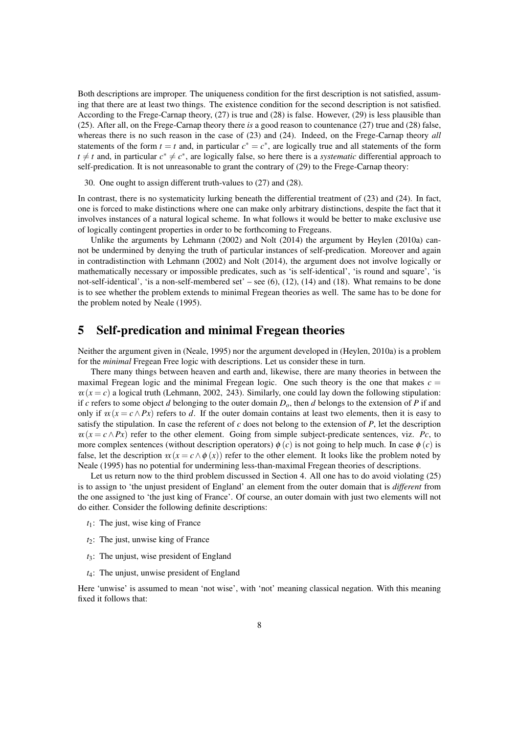Both descriptions are improper. The uniqueness condition for the first description is not satisfied, assuming that there are at least two things. The existence condition for the second description is not satisfied. According to the Frege-Carnap theory, (27) is true and (28) is false. However, (29) is less plausible than (25). After all, on the Frege-Carnap theory there *is* a good reason to countenance (27) true and (28) false, whereas there is no such reason in the case of (23) and (24). Indeed, on the Frege-Carnap theory *all* statements of the form  $t = t$  and, in particular  $c^* = c^*$ , are logically true and all statements of the form  $t \neq t$  and, in particular  $c^* \neq c^*$ , are logically false, so here there is a *systematic* differential approach to self-predication. It is not unreasonable to grant the contrary of (29) to the Frege-Carnap theory:

30. One ought to assign different truth-values to (27) and (28).

In contrast, there is no systematicity lurking beneath the differential treatment of (23) and (24). In fact, one is forced to make distinctions where one can make only arbitrary distinctions, despite the fact that it involves instances of a natural logical scheme. In what follows it would be better to make exclusive use of logically contingent properties in order to be forthcoming to Fregeans.

Unlike the arguments by Lehmann (2002) and Nolt (2014) the argument by Heylen (2010a) cannot be undermined by denying the truth of particular instances of self-predication. Moreover and again in contradistinction with Lehmann (2002) and Nolt (2014), the argument does not involve logically or mathematically necessary or impossible predicates, such as 'is self-identical', 'is round and square', 'is not-self-identical', 'is a non-self-membered set' – see (6), (12), (14) and (18). What remains to be done is to see whether the problem extends to minimal Fregean theories as well. The same has to be done for the problem noted by Neale (1995).

#### 5 Self-predication and minimal Fregean theories

Neither the argument given in (Neale, 1995) nor the argument developed in (Heylen, 2010a) is a problem for the *minimal* Fregean Free logic with descriptions. Let us consider these in turn.

There many things between heaven and earth and, likewise, there are many theories in between the maximal Fregean logic and the minimal Fregean logic. One such theory is the one that makes  $c =$  $x(x = c)$  a logical truth (Lehmann, 2002, 243). Similarly, one could lay down the following stipulation: if *c* refers to some object *d* belonging to the outer domain  $D<sub>o</sub>$ , then *d* belongs to the extension of *P* if and only if  $x(x = c \land Px)$  refers to *d*. If the outer domain contains at least two elements, then it is easy to satisfy the stipulation. In case the referent of *c* does not belong to the extension of *P*, let the description  $x(x = c \land Px)$  refer to the other element. Going from simple subject-predicate sentences, viz. *Pc*, to more complex sentences (without description operators)  $\phi(c)$  is not going to help much. In case  $\phi(c)$  is false, let the description  $x(x = c \land \phi(x))$  refer to the other element. It looks like the problem noted by Neale (1995) has no potential for undermining less-than-maximal Fregean theories of descriptions.

Let us return now to the third problem discussed in Section 4. All one has to do avoid violating (25) is to assign to 'the unjust president of England' an element from the outer domain that is *different* from the one assigned to 'the just king of France'. Of course, an outer domain with just two elements will not do either. Consider the following definite descriptions:

- *t*1: The just, wise king of France
- *t*2: The just, unwise king of France
- *t*3: The unjust, wise president of England
- *t*4: The unjust, unwise president of England

Here 'unwise' is assumed to mean 'not wise', with 'not' meaning classical negation. With this meaning fixed it follows that: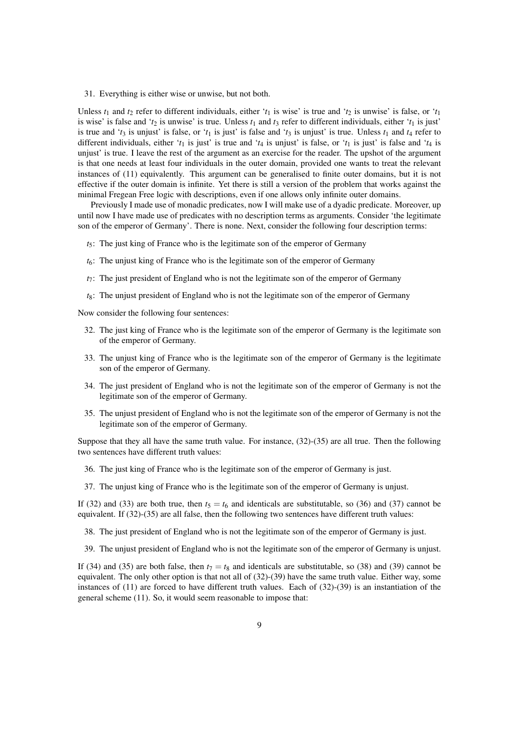31. Everything is either wise or unwise, but not both.

Unless  $t_1$  and  $t_2$  refer to different individuals, either ' $t_1$  is wise' is true and ' $t_2$  is unwise' is false, or ' $t_1$ is wise' is false and '*t*<sub>2</sub> is unwise' is true. Unless  $t_1$  and  $t_3$  refer to different individuals, either ' $t_1$  is just' is true and ' $t_3$  is unjust' is false, or ' $t_1$  is just' is false and ' $t_3$  is unjust' is true. Unless  $t_1$  and  $t_4$  refer to different individuals, either '*t*<sub>1</sub> is just' is true and '*t*<sub>4</sub> is unjust' is false, or '*t*<sub>1</sub> is just' is false and '*t*<sub>4</sub> is unjust' is true. I leave the rest of the argument as an exercise for the reader. The upshot of the argument is that one needs at least four individuals in the outer domain, provided one wants to treat the relevant instances of (11) equivalently. This argument can be generalised to finite outer domains, but it is not effective if the outer domain is infinite. Yet there is still a version of the problem that works against the minimal Fregean Free logic with descriptions, even if one allows only infinite outer domains.

Previously I made use of monadic predicates, now I will make use of a dyadic predicate. Moreover, up until now I have made use of predicates with no description terms as arguments. Consider 'the legitimate son of the emperor of Germany'. There is none. Next, consider the following four description terms:

- *t*5: The just king of France who is the legitimate son of the emperor of Germany
- *t*6: The unjust king of France who is the legitimate son of the emperor of Germany
- *t*7: The just president of England who is not the legitimate son of the emperor of Germany
- *t*8: The unjust president of England who is not the legitimate son of the emperor of Germany

Now consider the following four sentences:

- 32. The just king of France who is the legitimate son of the emperor of Germany is the legitimate son of the emperor of Germany.
- 33. The unjust king of France who is the legitimate son of the emperor of Germany is the legitimate son of the emperor of Germany.
- 34. The just president of England who is not the legitimate son of the emperor of Germany is not the legitimate son of the emperor of Germany.
- 35. The unjust president of England who is not the legitimate son of the emperor of Germany is not the legitimate son of the emperor of Germany.

Suppose that they all have the same truth value. For instance, (32)-(35) are all true. Then the following two sentences have different truth values:

- 36. The just king of France who is the legitimate son of the emperor of Germany is just.
- 37. The unjust king of France who is the legitimate son of the emperor of Germany is unjust.

If (32) and (33) are both true, then  $t_5 = t_6$  and identicals are substitutable, so (36) and (37) cannot be equivalent. If (32)-(35) are all false, then the following two sentences have different truth values:

- 38. The just president of England who is not the legitimate son of the emperor of Germany is just.
- 39. The unjust president of England who is not the legitimate son of the emperor of Germany is unjust.

If (34) and (35) are both false, then  $t_7 = t_8$  and identicals are substitutable, so (38) and (39) cannot be equivalent. The only other option is that not all of (32)-(39) have the same truth value. Either way, some instances of (11) are forced to have different truth values. Each of (32)-(39) is an instantiation of the general scheme (11). So, it would seem reasonable to impose that: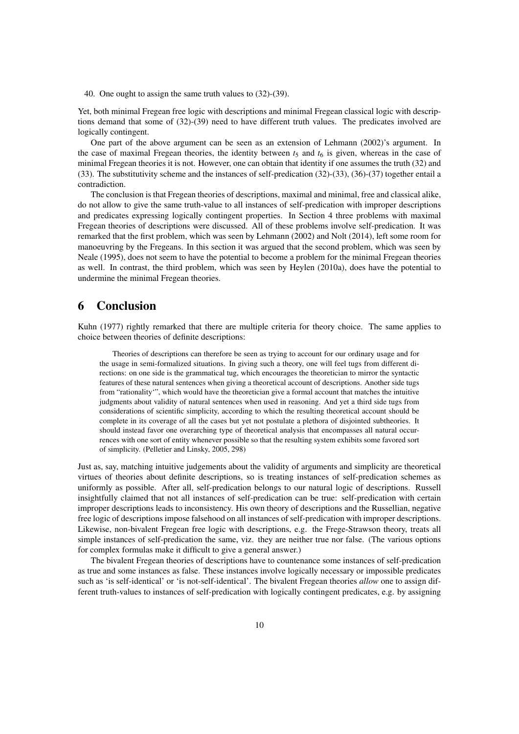40. One ought to assign the same truth values to (32)-(39).

Yet, both minimal Fregean free logic with descriptions and minimal Fregean classical logic with descriptions demand that some of (32)-(39) need to have different truth values. The predicates involved are logically contingent.

One part of the above argument can be seen as an extension of Lehmann (2002)'s argument. In the case of maximal Fregean theories, the identity between  $t<sub>5</sub>$  and  $t<sub>6</sub>$  is given, whereas in the case of minimal Fregean theories it is not. However, one can obtain that identity if one assumes the truth (32) and (33). The substitutivity scheme and the instances of self-predication (32)-(33), (36)-(37) together entail a contradiction.

The conclusion is that Fregean theories of descriptions, maximal and minimal, free and classical alike, do not allow to give the same truth-value to all instances of self-predication with improper descriptions and predicates expressing logically contingent properties. In Section 4 three problems with maximal Fregean theories of descriptions were discussed. All of these problems involve self-predication. It was remarked that the first problem, which was seen by Lehmann (2002) and Nolt (2014), left some room for manoeuvring by the Fregeans. In this section it was argued that the second problem, which was seen by Neale (1995), does not seem to have the potential to become a problem for the minimal Fregean theories as well. In contrast, the third problem, which was seen by Heylen (2010a), does have the potential to undermine the minimal Fregean theories.

## 6 Conclusion

Kuhn (1977) rightly remarked that there are multiple criteria for theory choice. The same applies to choice between theories of definite descriptions:

Theories of descriptions can therefore be seen as trying to account for our ordinary usage and for the usage in semi-formalized situations. In giving such a theory, one will feel tugs from different directions: on one side is the grammatical tug, which encourages the theoretician to mirror the syntactic features of these natural sentences when giving a theoretical account of descriptions. Another side tugs from "rationality'", which would have the theoretician give a formal account that matches the intuitive judgments about validity of natural sentences when used in reasoning. And yet a third side tugs from considerations of scientific simplicity, according to which the resulting theoretical account should be complete in its coverage of all the cases but yet not postulate a plethora of disjointed subtheories. It should instead favor one overarching type of theoretical analysis that encompasses all natural occurrences with one sort of entity whenever possible so that the resulting system exhibits some favored sort of simplicity. (Pelletier and Linsky, 2005, 298)

Just as, say, matching intuitive judgements about the validity of arguments and simplicity are theoretical virtues of theories about definite descriptions, so is treating instances of self-predication schemes as uniformly as possible. After all, self-predication belongs to our natural logic of descriptions. Russell insightfully claimed that not all instances of self-predication can be true: self-predication with certain improper descriptions leads to inconsistency. His own theory of descriptions and the Russellian, negative free logic of descriptions impose falsehood on all instances of self-predication with improper descriptions. Likewise, non-bivalent Fregean free logic with descriptions, e.g. the Frege-Strawson theory, treats all simple instances of self-predication the same, viz. they are neither true nor false. (The various options for complex formulas make it difficult to give a general answer.)

The bivalent Fregean theories of descriptions have to countenance some instances of self-predication as true and some instances as false. These instances involve logically necessary or impossible predicates such as 'is self-identical' or 'is not-self-identical'. The bivalent Fregean theories *allow* one to assign different truth-values to instances of self-predication with logically contingent predicates, e.g. by assigning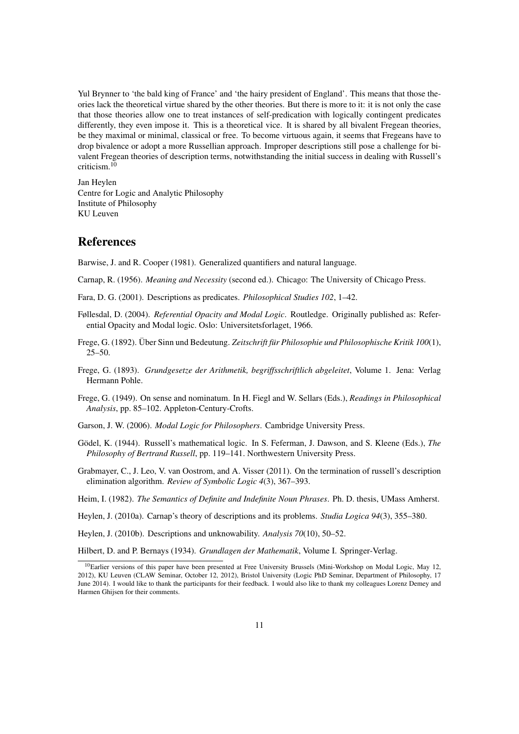Yul Brynner to 'the bald king of France' and 'the hairy president of England'. This means that those theories lack the theoretical virtue shared by the other theories. But there is more to it: it is not only the case that those theories allow one to treat instances of self-predication with logically contingent predicates differently, they even impose it. This is a theoretical vice. It is shared by all bivalent Fregean theories, be they maximal or minimal, classical or free. To become virtuous again, it seems that Fregeans have to drop bivalence or adopt a more Russellian approach. Improper descriptions still pose a challenge for bivalent Fregean theories of description terms, notwithstanding the initial success in dealing with Russell's criticism.<sup>10</sup>

Jan Heylen Centre for Logic and Analytic Philosophy Institute of Philosophy KU Leuven

#### **References**

Barwise, J. and R. Cooper (1981). Generalized quantifiers and natural language.

Carnap, R. (1956). *Meaning and Necessity* (second ed.). Chicago: The University of Chicago Press.

- Fara, D. G. (2001). Descriptions as predicates. *Philosophical Studies 102*, 1–42.
- Føllesdal, D. (2004). *Referential Opacity and Modal Logic*. Routledge. Originally published as: Referential Opacity and Modal logic. Oslo: Universitetsforlaget, 1966.
- Frege, G. (1892). Über Sinn und Bedeutung. Zeitschrift für Philosophie und Philosophische Kritik 100(1).  $25 - 50.$

Frege, G. (1893). *Grundgesetze der Arithmetik, begriffsschriftlich abgeleitet*, Volume 1. Jena: Verlag Hermann Pohle.

- Frege, G. (1949). On sense and nominatum. In H. Fiegl and W. Sellars (Eds.), *Readings in Philosophical Analysis*, pp. 85–102. Appleton-Century-Crofts.
- Garson, J. W. (2006). *Modal Logic for Philosophers*. Cambridge University Press.
- Gödel, K. (1944). Russell's mathematical logic. In S. Feferman, J. Dawson, and S. Kleene (Eds.), *The Philosophy of Bertrand Russell*, pp. 119–141. Northwestern University Press.
- Grabmayer, C., J. Leo, V. van Oostrom, and A. Visser (2011). On the termination of russell's description elimination algorithm. *Review of Symbolic Logic 4*(3), 367–393.

Heim, I. (1982). *The Semantics of Definite and Indefinite Noun Phrases*. Ph. D. thesis, UMass Amherst.

Heylen, J. (2010a). Carnap's theory of descriptions and its problems. *Studia Logica 94*(3), 355–380.

Heylen, J. (2010b). Descriptions and unknowability. *Analysis 70*(10), 50–52.

Hilbert, D. and P. Bernays (1934). *Grundlagen der Mathematik*, Volume I. Springer-Verlag.

<sup>&</sup>lt;sup>10</sup>Earlier versions of this paper have been presented at Free University Brussels (Mini-Workshop on Modal Logic, May 12, 2012), KU Leuven (CLAW Seminar, October 12, 2012), Bristol University (Logic PhD Seminar, Department of Philosophy, 17 June 2014). I would like to thank the participants for their feedback. I would also like to thank my colleagues Lorenz Demey and Harmen Ghijsen for their comments.